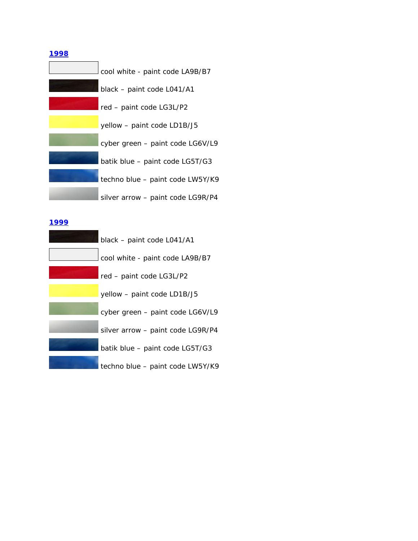| cool white - paint code LA9B/B7   |
|-----------------------------------|
| black - paint code L041/A1        |
| red - paint code LG3L/P2          |
| yellow - paint code LD1B/J5       |
| cyber green - paint code LG6V/L9  |
| batik blue - paint code LG5T/G3   |
| techno blue - paint code LW5Y/K9  |
| silver arrow - paint code LG9R/P4 |

### **1999**

| black - paint code L041/A1        |
|-----------------------------------|
| cool white - paint code LA9B/B7   |
| red - paint code LG3L/P2          |
| yellow - paint code LD1B/J5       |
| cyber green - paint code LG6V/L9  |
| silver arrow - paint code LG9R/P4 |
| batik blue - paint code LG5T/G3   |
| techno blue - paint code LW5Y/K9  |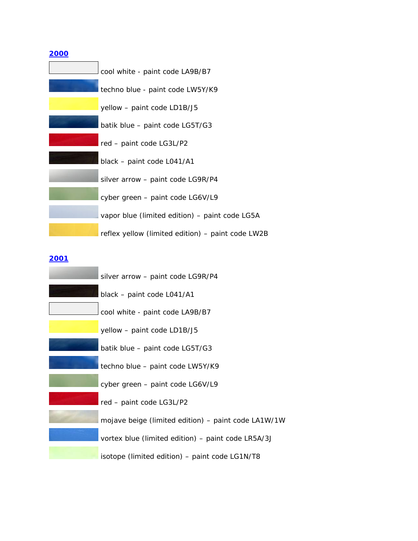| <b>2000</b>                                       |
|---------------------------------------------------|
| cool white - paint code LA9B/B7                   |
| techno blue - paint code LW5Y/K9                  |
| yellow – <i>paint code LD1B/J5</i>                |
| batik blue - paint code LG5T/G3                   |
| red - paint code LG3L/P2                          |
| black – paint code L041/A1                        |
| silver arrow - paint code LG9R/P4                 |
| cyber green - paint code LG6V/L9                  |
| vapor blue (limited edition) - paint code LG5A    |
| reflex yellow (limited edition) - paint code LW2B |

| silver arrow - paint code LG9R/P4                   |
|-----------------------------------------------------|
| black - paint code L041/A1                          |
| cool white - paint code LA9B/B7                     |
| yellow – paint code LD1B/J5                         |
| batik blue – paint code LG5T/G3                     |
| techno blue - paint code LW5Y/K9                    |
| cyber green - paint code LG6V/L9                    |
| red - paint code LG3L/P2                            |
| mojave beige (limited edition) - paint code LA1W/1W |
| vortex blue (limited edition) - paint code LR5A/3J  |
| isotope (limited edition) - paint code LG1N/T8      |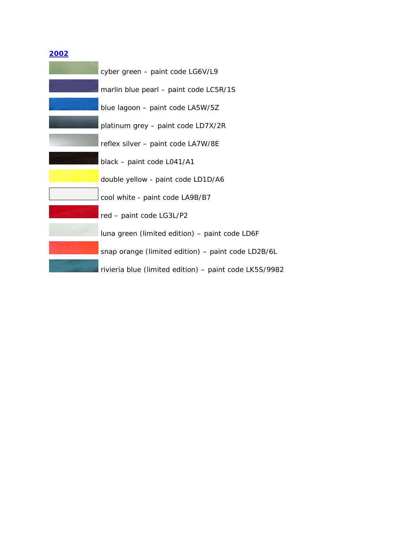| cyber green - paint code LG6V/L9                       |
|--------------------------------------------------------|
| marlin blue pearl - paint code LC5R/1S                 |
| blue lagoon - paint code LA5W/5Z                       |
| platinum grey - paint code LD7X/2R                     |
| reflex silver - paint code LA7W/8E                     |
| black - paint code L041/A1                             |
| double yellow - paint code LD1D/A6                     |
| cool white - paint code LA9B/B7                        |
| red - paint code LG3L/P2                               |
| luna green (limited edition) - paint code LD6F         |
| snap orange (limited edition) - paint code LD2B/6L     |
| rivieria blue (limited edition) - paint code LK5S/9982 |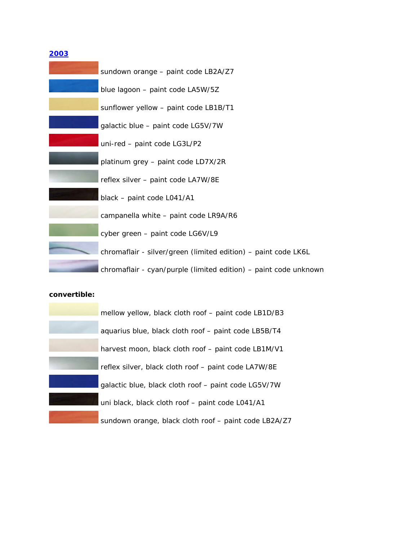| sundown orange - paint code LB2A/Z7                              |
|------------------------------------------------------------------|
| blue lagoon - paint code LA5W/5Z                                 |
| sunflower yellow - paint code LB1B/T1                            |
| galactic blue - paint code LG5V/7W                               |
| uni-red - paint code LG3L/P2                                     |
| platinum grey - paint code LD7X/2R                               |
| reflex silver - paint code LA7W/8E                               |
| black - paint code L041/A1                                       |
| campanella white - paint code LR9A/R6                            |
| cyber green - paint code LG6V/L9                                 |
| chromaflair - silver/green (limited edition) - paint code LK6L   |
| chromaflair - cyan/purple (limited edition) - paint code unknown |

| mellow yellow, black cloth roof – paint code LB1D/B3  |
|-------------------------------------------------------|
| aquarius blue, black cloth roof - paint code LB5B/T4  |
| harvest moon, black cloth roof - paint code LB1M/V1   |
| reflex silver, black cloth roof - paint code LA7W/8E  |
| galactic blue, black cloth roof - paint code LG5V/7W  |
| uni black, black cloth roof - paint code L041/A1      |
| sundown orange, black cloth roof - paint code LB2A/Z7 |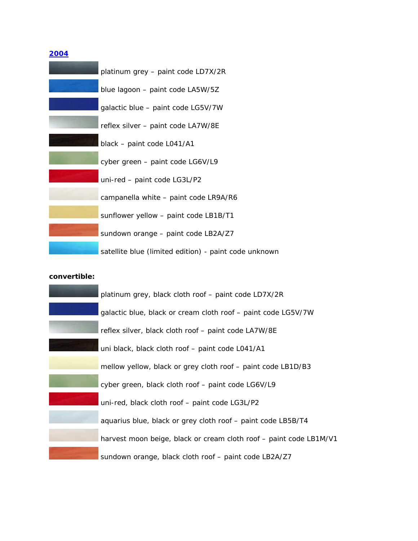| platinum grey - paint code LD7X/2R                    |
|-------------------------------------------------------|
| blue lagoon - paint code LA5W/5Z                      |
| galactic blue - paint code LG5V/7W                    |
| reflex silver - paint code LA7W/8E                    |
| black - paint code L041/A1                            |
| cyber green - paint code LG6V/L9                      |
| uni-red - paint code LG3L/P2                          |
| campanella white - paint code LR9A/R6                 |
| sunflower yellow - paint code LB1B/T1                 |
| sundown orange - paint code LB2A/Z7                   |
| satellite blue (limited edition) - paint code unknown |

| platinum grey, black cloth roof - paint code LD7X/2R               |
|--------------------------------------------------------------------|
| galactic blue, black or cream cloth roof - paint code LG5V/7W      |
| reflex silver, black cloth roof - paint code LA7W/8E               |
| uni black, black cloth roof - paint code L041/A1                   |
| mellow yellow, black or grey cloth roof - paint code LB1D/B3       |
| cyber green, black cloth roof - paint code LG6V/L9                 |
| uni-red, black cloth roof - paint code LG3L/P2                     |
| aquarius blue, black or grey cloth roof - paint code LB5B/T4       |
| harvest moon beige, black or cream cloth roof - paint code LB1M/V1 |
| sundown orange, black cloth roof - paint code LB2A/Z7              |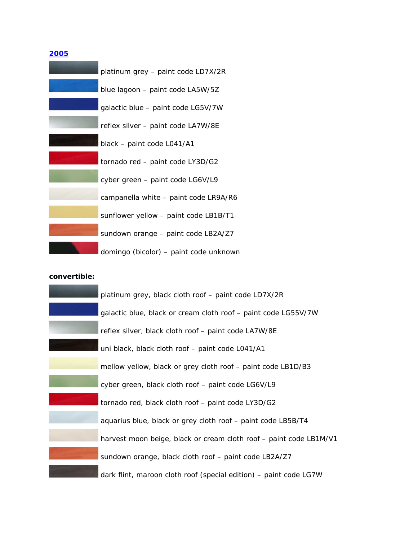| platinum grey - paint code LD7X/2R     |
|----------------------------------------|
| blue lagoon $-$ paint code LA5W/5Z     |
| galactic blue - paint code LG5V/7W     |
| reflex silver - paint code LA7W/8E     |
| black - paint code L041/A1             |
| tornado red - paint code LY3D/G2       |
| cyber green - paint code LG6V/L9       |
| campanella white - paint code LR9A/R6  |
| sunflower yellow - paint code LB1B/T1  |
| sundown orange - paint code LB2A/Z7    |
| domingo (bicolor) - paint code unknown |

| platinum grey, black cloth roof - paint code LD7X/2R               |
|--------------------------------------------------------------------|
| galactic blue, black or cream cloth roof - paint code LG55V/7W     |
| reflex silver, black cloth roof - paint code LA7W/8E               |
| uni black, black cloth roof - paint code L041/A1                   |
| mellow yellow, black or grey cloth roof - paint code LB1D/B3       |
| cyber green, black cloth roof - paint code LG6V/L9                 |
| tornado red, black cloth roof - paint code LY3D/G2                 |
| aquarius blue, black or grey cloth roof - paint code LB5B/T4       |
| harvest moon beige, black or cream cloth roof - paint code LB1M/V1 |
| sundown orange, black cloth roof - paint code LB2A/Z7              |
| dark flint, maroon cloth roof (special edition) - paint code LG7W  |